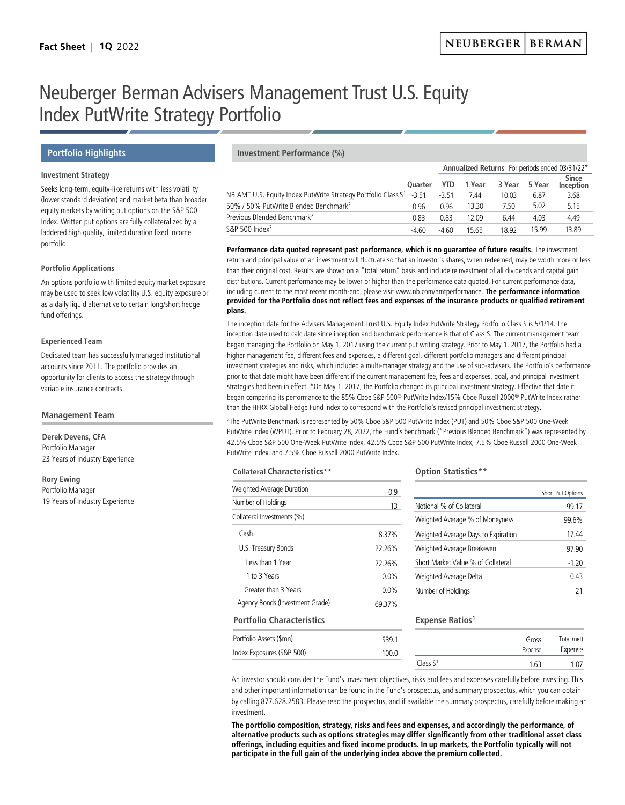# Neuberger Berman Advisers Management Trust U.S. Equity Index PutWrite Strategy Portfolio

#### **Investment Strategy**

Seeks long-term, equity-like returns with less volatility (lower standard deviation) and market beta than broader equity markets by writing put options on the S&P 500 Index. Written put options are fully collateralized by a laddered high quality, limited duration fixed income portfolio.

#### **Portfolio Applications**

An options portfolio with limited equity market exposure may be used to seek low volatility U.S. equity exposure or as a daily liquid alternative to certain long/short hedge fund offerings.

#### **Experienced Team**

Dedicated team has successfully managed institutional accounts since 2011. The portfolio provides an opportunity for clients to access the strategy through variable insurance contracts.

#### **Management Team**

**Derek Devens, CFA**  Portfolio Manager 23 Years of Industry Experience

**Rory Ewing** Portfolio Manager 19 Years of Industry Experience

### **Portfolio Highlights Investment Performance (%)**

|                                                                                 |                |         | Annualized Returns For periods ended 03/31/22* |        |        |                                  |  |
|---------------------------------------------------------------------------------|----------------|---------|------------------------------------------------|--------|--------|----------------------------------|--|
|                                                                                 | <b>Ouarter</b> | YTD.    | 1 Year                                         | 3 Year | 5 Year | <b>Since</b><br><b>Inception</b> |  |
| NB AMT U.S. Equity Index PutWrite Strategy Portfolio Class S <sup>1</sup> -3.51 |                | $-3.51$ | 7 44                                           | 10.03  | 6.87   | 3.68                             |  |
| 50% / 50% PutWrite Blended Benchmark <sup>2</sup>                               | 0 ዓ6           | 0 ዓ6    | 13.30                                          | 7.50   | 5.02   | 515                              |  |
| Previous Blended Benchmark <sup>2</sup>                                         | 0.83           | 0.83    | 12.09                                          | 6.44   | 4.03   | 4.49                             |  |
| S&P 500 Index <sup>3</sup>                                                      | $-4.60$        | $-4.60$ | 15.65                                          | 18.92  | 15 99  | 13.89                            |  |

**Performance data quoted represent past performance, which is no guarantee of future results.** The investment return and principal value of an investment will fluctuate so that an investor's shares, when redeemed, may be worth more or less than their original cost. Results are shown on a "total return" basis and include reinvestment of all dividends and capital gain distributions. Current performance may be lower or higher than the performance data quoted. For current performance data, including current to the most recent month-end, please visit www.nb.com/amtperformance. **The performance information provided for the Portfolio does not reflect fees and expenses of the insurance products or qualified retirement plans.**

The inception date for the Advisers Management Trust U.S. Equity Index PutWrite Strategy Portfolio Class S is 5/1/14. The inception date used to calculate since inception and benchmark performance is that of Class S. The current management team began managing the Portfolio on May 1, 2017 using the current put writing strategy. Prior to May 1, 2017, the Portfolio had a higher management fee, different fees and expenses, a different goal, different portfolio managers and different principal investment strategies and risks, which included a multi-manager strategy and the use of sub-advisers. The Portfolio's performance prior to that date might have been different if the current management fee, fees and expenses, goal, and principal investment strategies had been in effect. \*On May 1, 2017, the Portfolio changed its principal investment strategy. Effective that date it began comparing its performance to the 85% Cboe S&P 500® PutWrite Index/15% Cboe Russell 2000® PutWrite Index rather than the HFRX Global Hedge Fund Index to correspond with the Portfolio's revised principal investment strategy.

2The PutWrite Benchmark is represented by 50% Cboe S&P 500 PutWrite Index (PUT) and 50% Cboe S&P 500 One-Week PutWrite Index (WPUT). Prior to February 28, 2022, the Fund's benchmark ("Previous Blended Benchmark") was represented by 42.5% Cboe S&P 500 One-Week PutWrite Index, 42.5% Cboe S&P 500 PutWrite Index, 7.5% Cboe Russell 2000 One-Week PutWrite Index, and 7.5% Cboe Russell 2000 PutWrite Index.

#### **Collateral Characteristics\*\***

| Weighted Average Duration        | 0.9     |
|----------------------------------|---------|
| Number of Holdings               | 13      |
| Collateral Investments (%)       |         |
| Cash                             | 8.37%   |
| U.S. Treasury Bonds              | 22.26%  |
| Less than 1 Year                 | 22.26%  |
| 1 to 3 Years                     | $0.0\%$ |
| Greater than 3 Years             | $0.0\%$ |
| Agency Bonds (Investment Grade)  | 69.37%  |
| <b>Portfolio Characteristics</b> |         |
| Portfolio Assets (\$mn)          | \$39.1  |
| Index Exposures (S&P 500)        | 100.0   |

# **Option Statistics\*\***

|                                     | Short Put Options |
|-------------------------------------|-------------------|
| Notional % of Collateral            | 99 17             |
| Weighted Average % of Moneyness     | 99.6%             |
| Weighted Average Days to Expiration | 1744              |
| Weighted Average Breakeven          | 97 90             |
| Short Market Value % of Collateral  | $-1.20$           |
| Weighted Average Delta              | 043               |
| Number of Holdings                  | 21                |

# **Expense Ratios1**

|                      | Gross<br>Expense |                  |
|----------------------|------------------|------------------|
| Class S <sup>1</sup> | 1.63             | Expense<br>1 N 7 |

An investor should consider the Fund's investment objectives, risks and fees and expenses carefully before investing. This and other important information can be found in the Fund's prospectus, and summary prospectus, which you can obtain by calling 877.628.2583. Please read the prospectus, and if available the summary prospectus, carefully before making an investment.

**The portfolio composition, strategy, risks and fees and expenses, and accordingly the performance, of alternative products such as options strategies may differ significantly from other traditional asset class offerings, including equities and fixed income products. In up markets, the Portfolio typically will not participate in the full gain of the underlying index above the premium collected.**